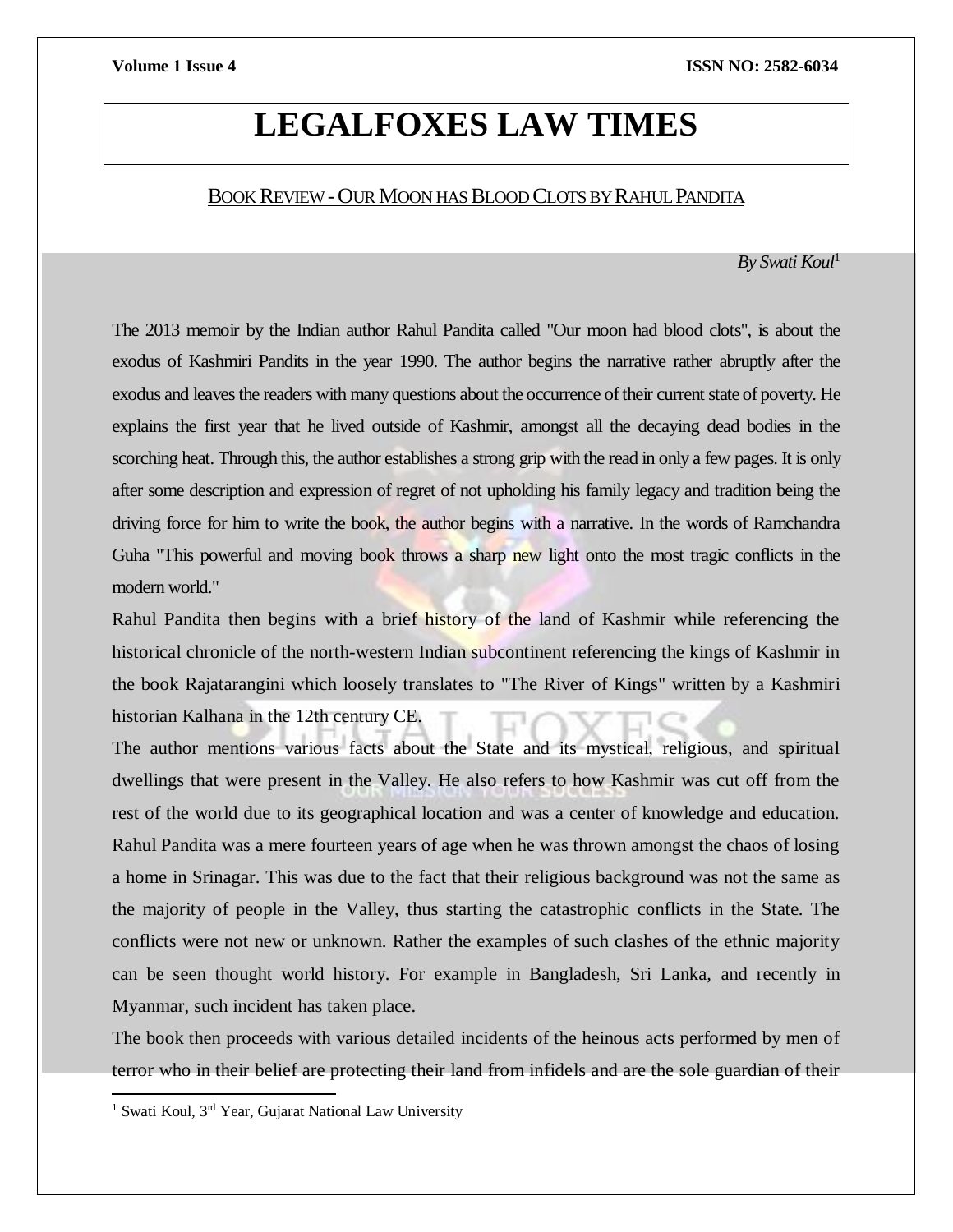# **LEGALFOXES LAW TIMES**

# BOOK REVIEW-OUR MOON HAS BLOOD CLOTSBY RAHUL PANDITA

*By Swati Koul*<sup>1</sup>

The 2013 memoir by the Indian author Rahul Pandita called "Our moon had blood clots", is about the exodus of Kashmiri Pandits in the year 1990. The author begins the narrative rather abruptly after the exodus and leaves the readers with many questions about the occurrence of their current state of poverty. He explains the first year that he lived outside of Kashmir, amongst all the decaying dead bodies in the scorching heat. Through this, the author establishes a strong grip with the read in only a few pages. It is only after some description and expression of regret of not upholding his family legacy and tradition being the driving force for him to write the book, the author begins with a narrative. In the words of Ramchandra Guha "This powerful and moving book throws a sharp new light onto the most tragic conflicts in the modern world."

Rahul Pandita then begins with a brief history of the land of Kashmir while referencing the historical chronicle of the north-western Indian subcontinent referencing the kings of Kashmir in the book Rajatarangini which loosely translates to "The River of Kings" written by a Kashmiri historian Kalhana in the 12th century CE.

The author mentions various facts about the State and its mystical, religious, and spiritual dwellings that were present in the Valley. He also refers to how Kashmir was cut off from the rest of the world due to its geographical location and was a center of knowledge and education. Rahul Pandita was a mere fourteen years of age when he was thrown amongst the chaos of losing a home in Srinagar. This was due to the fact that their religious background was not the same as the majority of people in the Valley, thus starting the catastrophic conflicts in the State. The conflicts were not new or unknown. Rather the examples of such clashes of the ethnic majority can be seen thought world history. For example in Bangladesh, Sri Lanka, and recently in Myanmar, such incident has taken place.

The book then proceeds with various detailed incidents of the heinous acts performed by men of terror who in their belief are protecting their land from infidels and are the sole guardian of their

 $\overline{a}$ 

<sup>&</sup>lt;sup>1</sup> Swati Koul, 3<sup>rd</sup> Year, Gujarat National Law University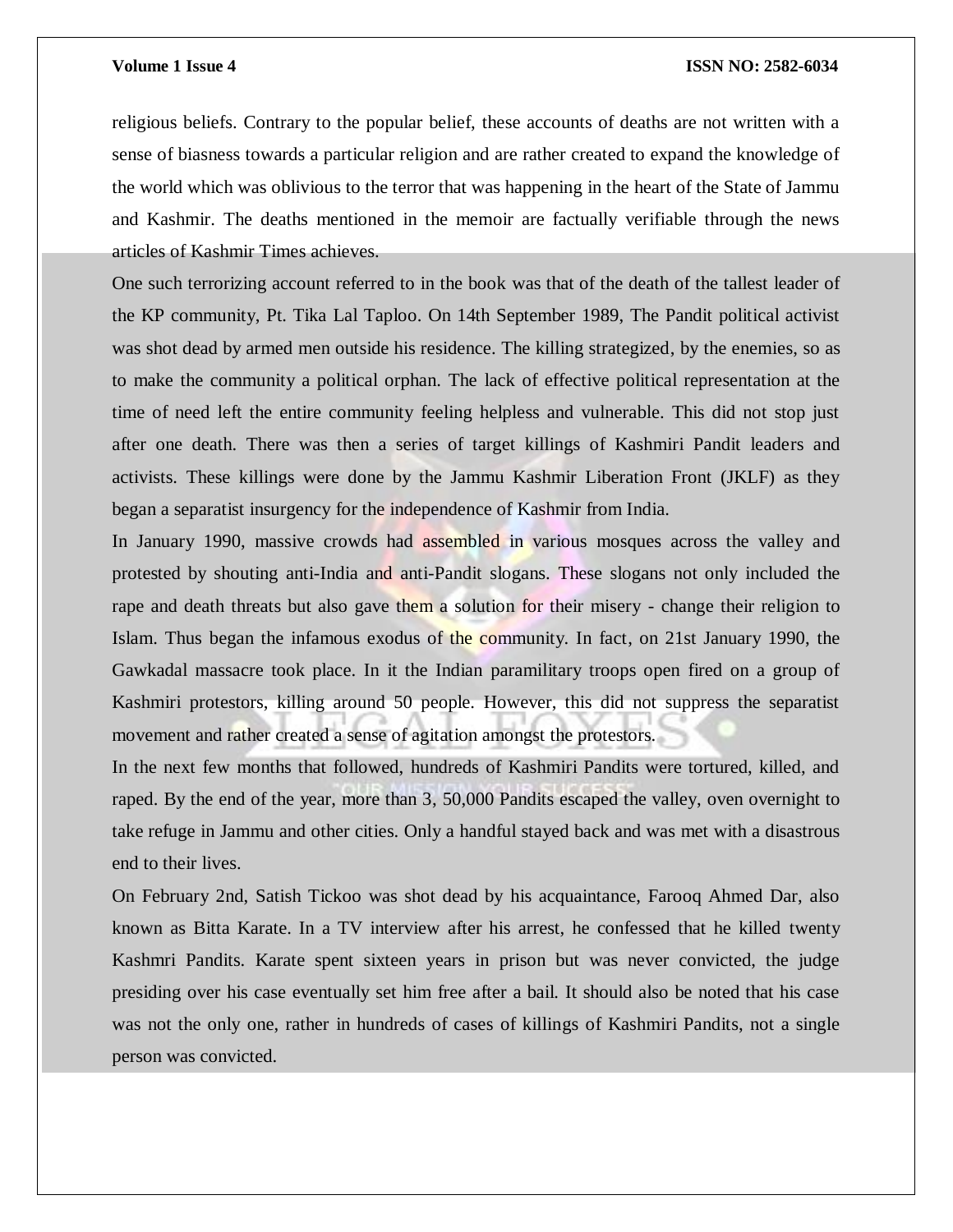# **Volume 1 Issue 4 ISSN NO: 2582-6034**

religious beliefs. Contrary to the popular belief, these accounts of deaths are not written with a sense of biasness towards a particular religion and are rather created to expand the knowledge of the world which was oblivious to the terror that was happening in the heart of the State of Jammu and Kashmir. The deaths mentioned in the memoir are factually verifiable through the news articles of Kashmir Times achieves.

One such terrorizing account referred to in the book was that of the death of the tallest leader of the KP community, Pt. Tika Lal Taploo. On 14th September 1989, The Pandit political activist was shot dead by armed men outside his residence. The killing strategized, by the enemies, so as to make the community a political orphan. The lack of effective political representation at the time of need left the entire community feeling helpless and vulnerable. This did not stop just after one death. There was then a series of target killings of Kashmiri Pandit leaders and activists. These killings were done by the Jammu Kashmir Liberation Front (JKLF) as they began a separatist insurgency for the independence of Kashmir from India.

In January 1990, massive crowds had assembled in various mosques across the valley and protested by shouting anti-India and anti-Pandit slogans. These slogans not only included the rape and death threats but also gave them a solution for their misery - change their religion to Islam. Thus began the infamous exodus of the community. In fact, on 21st January 1990, the Gawkadal massacre took place. In it the Indian paramilitary troops open fired on a group of Kashmiri protestors, killing around 50 people. However, this did not suppress the separatist movement and rather created a sense of agitation amongst the protestors.

In the next few months that followed, hundreds of Kashmiri Pandits were tortured, killed, and raped. By the end of the year, more than 3, 50,000 Pandits escaped the valley, oven overnight to take refuge in Jammu and other cities. Only a handful stayed back and was met with a disastrous end to their lives.

On February 2nd, Satish Tickoo was shot dead by his acquaintance, Farooq Ahmed Dar, also known as Bitta Karate. In a TV interview after his arrest, he confessed that he killed twenty Kashmri Pandits. Karate spent sixteen years in prison but was never convicted, the judge presiding over his case eventually set him free after a bail. It should also be noted that his case was not the only one, rather in hundreds of cases of killings of Kashmiri Pandits, not a single person was convicted.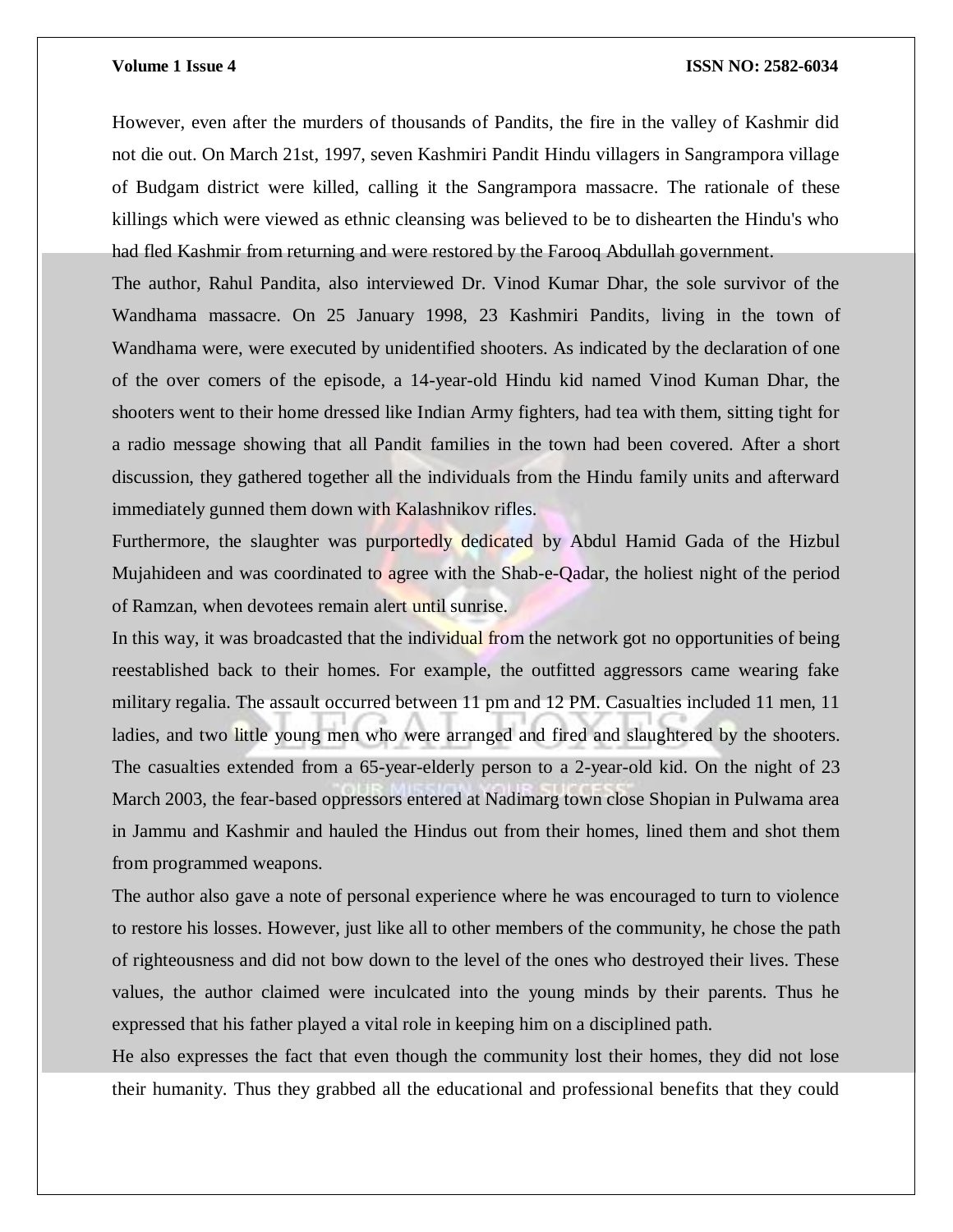# **Volume 1 Issue 4 ISSN NO: 2582-6034**

However, even after the murders of thousands of Pandits, the fire in the valley of Kashmir did not die out. On March 21st, 1997, seven Kashmiri Pandit Hindu villagers in Sangrampora village of Budgam district were killed, calling it the Sangrampora massacre. The rationale of these killings which were viewed as ethnic cleansing was believed to be to dishearten the Hindu's who had fled Kashmir from returning and were restored by the Farooq Abdullah government.

The author, Rahul Pandita, also interviewed Dr. Vinod Kumar Dhar, the sole survivor of the Wandhama massacre. On 25 January 1998, 23 Kashmiri Pandits, living in the town of Wandhama were, were executed by unidentified shooters. As indicated by the declaration of one of the over comers of the episode, a 14-year-old Hindu kid named Vinod Kuman Dhar, the shooters went to their home dressed like Indian Army fighters, had tea with them, sitting tight for a radio message showing that all Pandit families in the town had been covered. After a short discussion, they gathered together all the individuals from the Hindu family units and afterward immediately gunned them down with Kalashnikov rifles.

Furthermore, the slaughter was purportedly dedicated by Abdul Hamid Gada of the Hizbul Mujahideen and was coordinated to agree with the Shab-e-Qadar, the holiest night of the period of Ramzan, when devotees remain alert until sunrise.

In this way, it was broadcasted that the individual from the network got no opportunities of being reestablished back to their homes. For example, the outfitted aggressors came wearing fake military regalia. The assault occurred between 11 pm and 12 PM. Casualties included 11 men, 11 ladies, and two little young men who were arranged and fired and slaughtered by the shooters. The casualties extended from a 65-year-elderly person to a 2-year-old kid. On the night of 23 March 2003, the fear-based oppressors entered at Nadimarg town close Shopian in Pulwama area in Jammu and Kashmir and hauled the Hindus out from their homes, lined them and shot them from programmed weapons.

The author also gave a note of personal experience where he was encouraged to turn to violence to restore his losses. However, just like all to other members of the community, he chose the path of righteousness and did not bow down to the level of the ones who destroyed their lives. These values, the author claimed were inculcated into the young minds by their parents. Thus he expressed that his father played a vital role in keeping him on a disciplined path.

He also expresses the fact that even though the community lost their homes, they did not lose their humanity. Thus they grabbed all the educational and professional benefits that they could